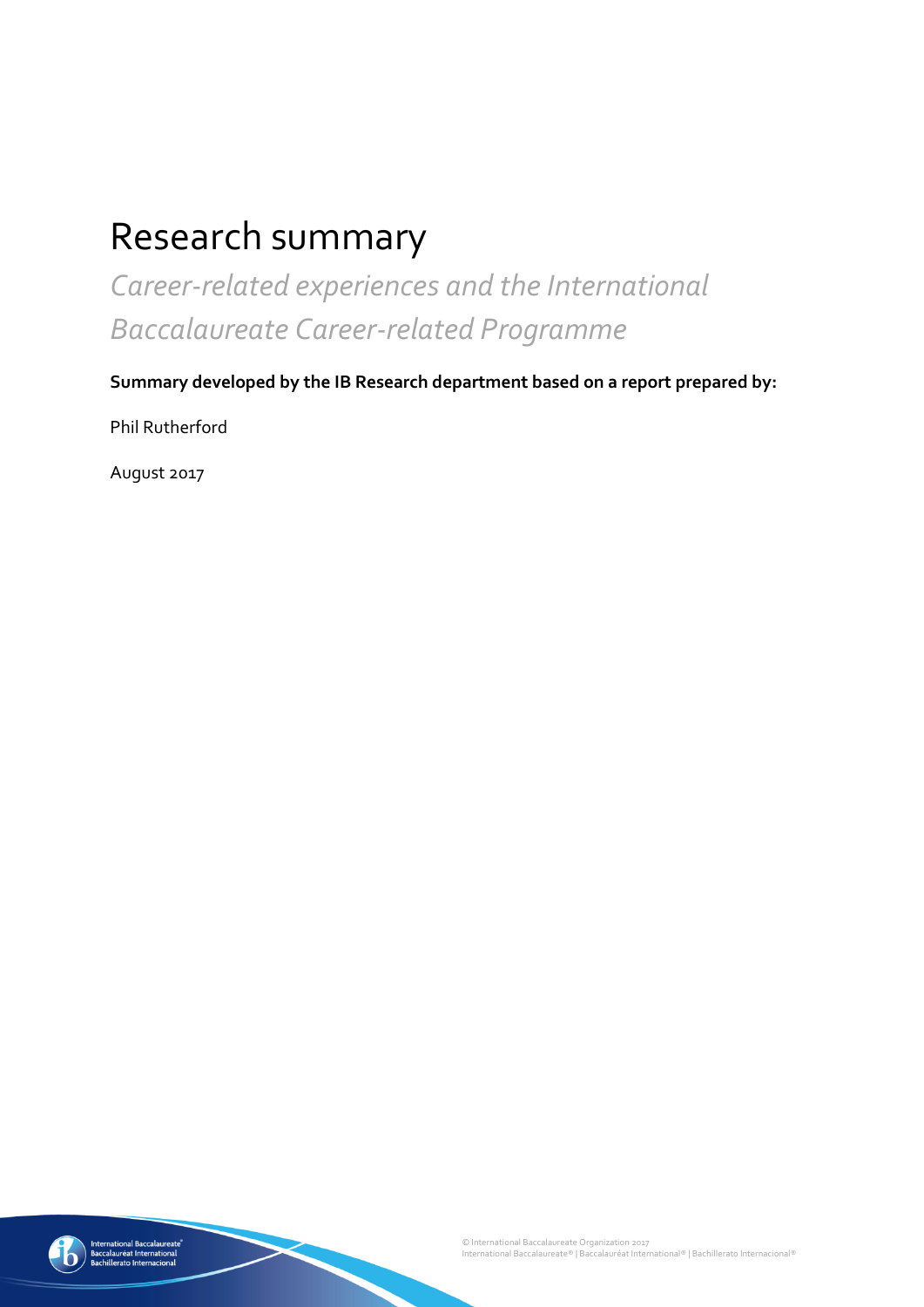# Research summary

*Career-related experiences and the International Baccalaureate Career-related Programme*

**Summary developed by the IB Research department based on a report prepared by:**

Phil Rutherford

August 2017

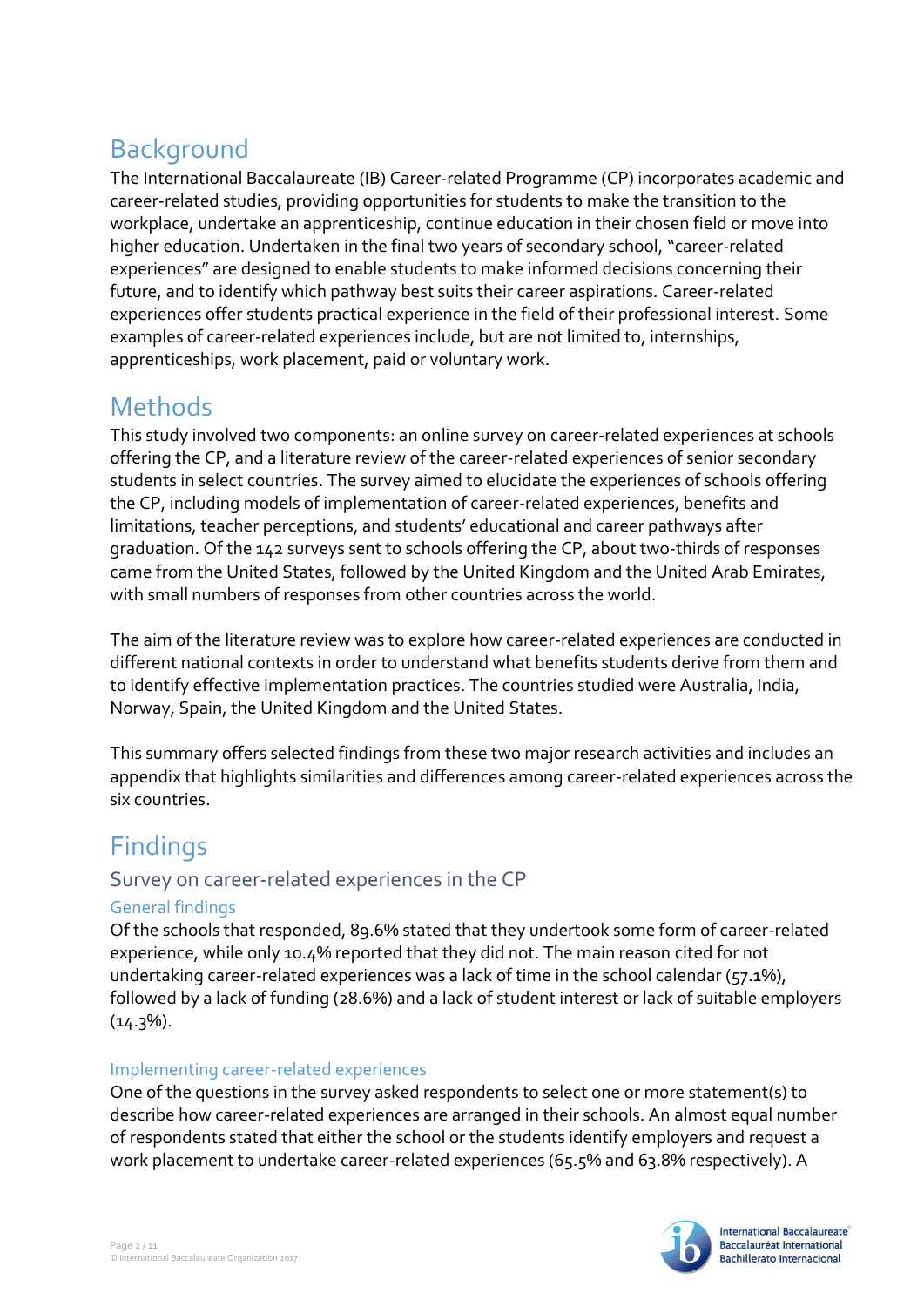# Background

The International Baccalaureate (IB) Career-related Programme (CP) incorporates academic and career-related studies, providing opportunities for students to make the transition to the workplace, undertake an apprenticeship, continue education in their chosen field or move into higher education. Undertaken in the final two years of secondary school, "career-related experiences" are designed to enable students to make informed decisions concerning their future, and to identify which pathway best suits their career aspirations. Career-related experiences offer students practical experience in the field of their professional interest. Some examples of career-related experiences include, but are not limited to, internships, apprenticeships, work placement, paid or voluntary work.

# **Methods**

This study involved two components: an online survey on career-related experiences at schools offering the CP, and a literature review of the career-related experiences of senior secondary students in select countries. The survey aimed to elucidate the experiences of schools offering the CP, including models of implementation of career-related experiences, benefits and limitations, teacher perceptions, and students' educational and career pathways after graduation. Of the 142 surveys sent to schools offering the CP, about two-thirds of responses came from the United States, followed by the United Kingdom and the United Arab Emirates, with small numbers of responses from other countries across the world.

The aim of the literature review was to explore how career-related experiences are conducted in different national contexts in order to understand what benefits students derive from them and to identify effective implementation practices. The countries studied were Australia, India, Norway, Spain, the United Kingdom and the United States.

This summary offers selected findings from these two major research activities and includes an appendix that highlights similarities and differences among career-related experiences across the six countries.

# **Findings**

### Survey on career-related experiences in the CP

### General findings

Of the schools that responded, 89.6% stated that they undertook some form of career-related experience, while only 10.4% reported that they did not. The main reason cited for not undertaking career-related experiences was a lack of time in the school calendar (57.1%), followed by a lack of funding (28.6%) and a lack of student interest or lack of suitable employers  $(14.3\%)$ .

### Implementing career-related experiences

One of the questions in the survey asked respondents to select one or more statement(s) to describe how career-related experiences are arranged in their schools. An almost equal number of respondents stated that either the school or the students identify employers and request a work placement to undertake career-related experiences (65.5% and 63.8% respectively). A

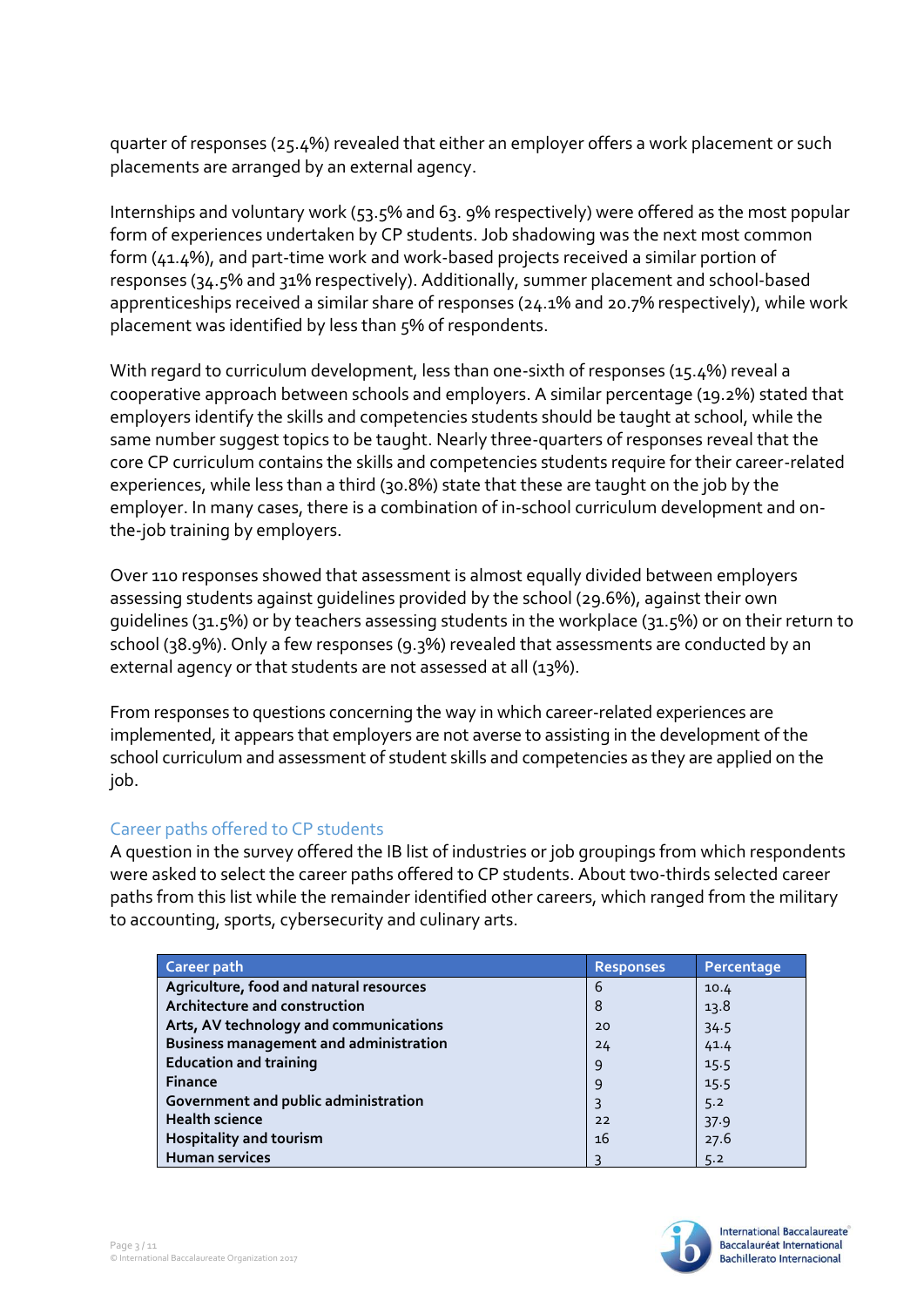quarter of responses (25.4%) revealed that either an employer offers a work placement or such placements are arranged by an external agency.

Internships and voluntary work (53.5% and 63. 9% respectively) were offered as the most popular form of experiences undertaken by CP students. Job shadowing was the next most common form (41.4%), and part-time work and work-based projects received a similar portion of responses (34.5% and 31% respectively). Additionally, summer placement and school-based apprenticeships received a similar share of responses (24.1% and 20.7% respectively), while work placement was identified by less than 5% of respondents.

With regard to curriculum development, less than one-sixth of responses (15.4%) reveal a cooperative approach between schools and employers. A similar percentage (19.2%) stated that employers identify the skills and competencies students should be taught at school, while the same number suggest topics to be taught. Nearly three-quarters of responses reveal that the core CP curriculum contains the skills and competencies students require for their career-related experiences, while less than a third (30.8%) state that these are taught on the job by the employer. In many cases, there is a combination of in-school curriculum development and onthe-job training by employers.

Over 110 responses showed that assessment is almost equally divided between employers assessing students against guidelines provided by the school (29.6%), against their own guidelines (31.5%) or by teachers assessing students in the workplace (31.5%) or on their return to school (38.9%). Only a few responses (9.3%) revealed that assessments are conducted by an external agency or that students are not assessed at all (13%).

From responses to questions concerning the way in which career-related experiences are implemented, it appears that employers are not averse to assisting in the development of the school curriculum and assessment of student skills and competencies as they are applied on the job.

#### Career paths offered to CP students

A question in the survey offered the IB list of industries or job groupings from which respondents were asked to select the career paths offered to CP students. About two-thirds selected career paths from this list while the remainder identified other careers, which ranged from the military to accounting, sports, cybersecurity and culinary arts.

| Career path                                   | <b>Responses</b> | Percentage |
|-----------------------------------------------|------------------|------------|
| Agriculture, food and natural resources       | 6                | 10.4       |
| Architecture and construction                 | 8                | 13.8       |
| Arts, AV technology and communications        | 20               | 34.5       |
| <b>Business management and administration</b> | 24               | 41.4       |
| <b>Education and training</b>                 | 9                | 15.5       |
| <b>Finance</b>                                | 9                | 15.5       |
| Government and public administration          | 3                | 5.2        |
| <b>Health science</b>                         | 22               | 37.9       |
| <b>Hospitality and tourism</b>                | 16               | 27.6       |
| <b>Human services</b>                         |                  | 5.2        |

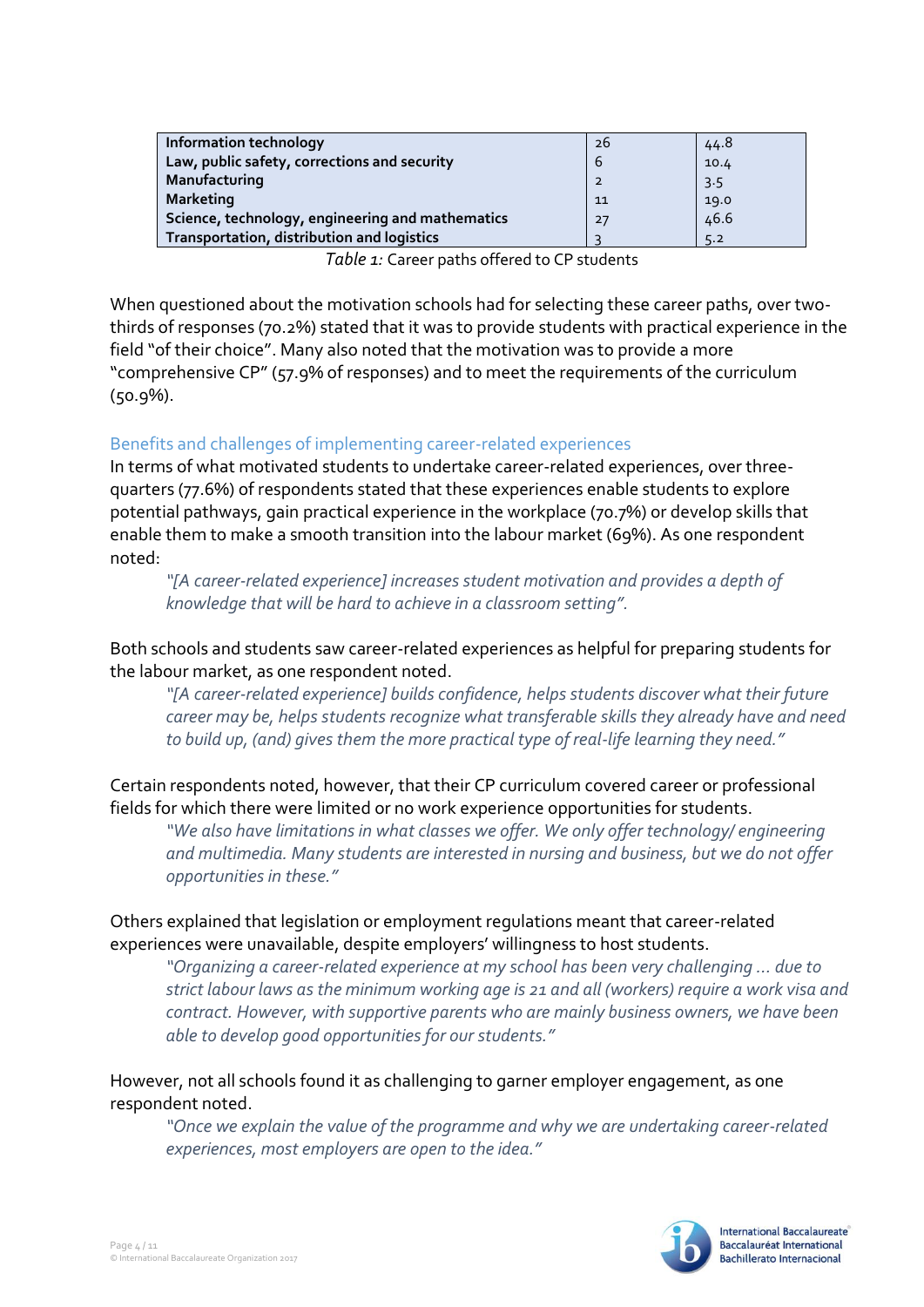| <b>Information technology</b>                    | 26             | 44.8 |
|--------------------------------------------------|----------------|------|
| Law, public safety, corrections and security     | 6              | 10.4 |
| Manufacturing                                    | $\overline{2}$ | 3.5  |
| <b>Marketing</b>                                 | 11             | 19.0 |
| Science, technology, engineering and mathematics | 27             | 46.6 |
| Transportation, distribution and logistics       |                | 5.2  |

*Table 1:* Career paths offered to CP students

When questioned about the motivation schools had for selecting these career paths, over twothirds of responses (70.2%) stated that it was to provide students with practical experience in the field "of their choice". Many also noted that the motivation was to provide a more "comprehensive CP" (57.9% of responses) and to meet the requirements of the curriculum (50.9%).

#### Benefits and challenges of implementing career-related experiences

In terms of what motivated students to undertake career-related experiences, over threequarters (77.6%) of respondents stated that these experiences enable students to explore potential pathways, gain practical experience in the workplace (70.7%) or develop skills that enable them to make a smooth transition into the labour market (69%). As one respondent noted:

*"[A career-related experience] increases student motivation and provides a depth of knowledge that will be hard to achieve in a classroom setting".*

Both schools and students saw career-related experiences as helpful for preparing students for the labour market, as one respondent noted.

*"[A career-related experience] builds confidence, helps students discover what their future career may be, helps students recognize what transferable skills they already have and need to build up, (and) gives them the more practical type of real-life learning they need."*

Certain respondents noted, however, that their CP curriculum covered career or professional fields for which there were limited or no work experience opportunities for students.

*"We also have limitations in what classes we offer. We only offer technology/ engineering and multimedia. Many students are interested in nursing and business, but we do not offer opportunities in these."*

#### Others explained that legislation or employment regulations meant that career-related experiences were unavailable, despite employers' willingness to host students.

*"Organizing a career-related experience at my school has been very challenging … due to strict labour laws as the minimum working age is 21 and all (workers) require a work visa and contract. However, with supportive parents who are mainly business owners, we have been able to develop good opportunities for our students."*

#### However, not all schools found it as challenging to garner employer engagement, as one respondent noted.

*"Once we explain the value of the programme and why we are undertaking career-related experiences, most employers are open to the idea."*

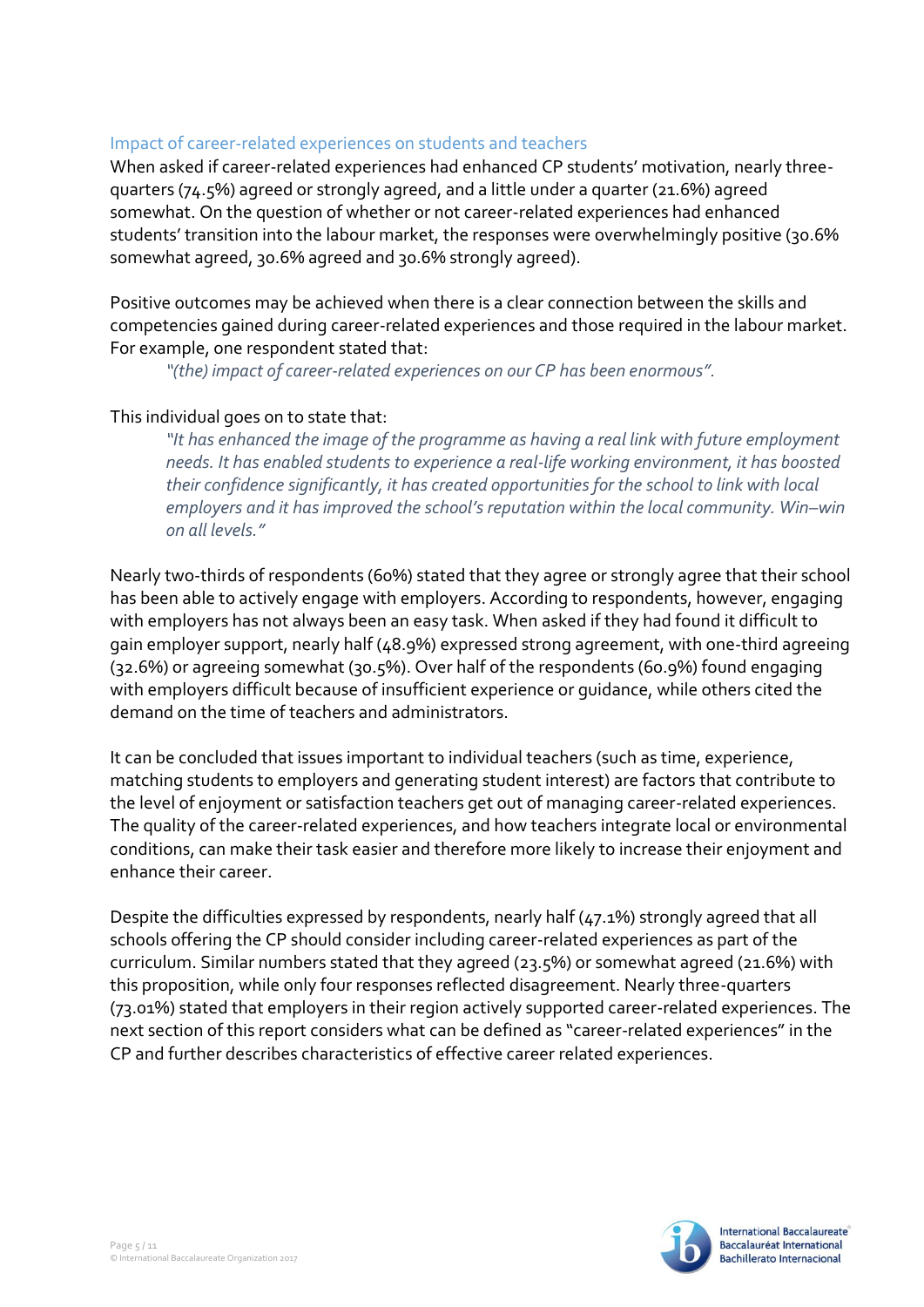#### Impact of career-related experiences on students and teachers

When asked if career-related experiences had enhanced CP students' motivation, nearly threequarters (74.5%) agreed or strongly agreed, and a little under a quarter (21.6%) agreed somewhat. On the question of whether or not career-related experiences had enhanced students' transition into the labour market, the responses were overwhelmingly positive (30.6% somewhat agreed, 30.6% agreed and 30.6% strongly agreed).

Positive outcomes may be achieved when there is a clear connection between the skills and competencies gained during career-related experiences and those required in the labour market. For example, one respondent stated that:

*"(the) impact of career-related experiences on our CP has been enormous".*

#### This individual goes on to state that:

*"It has enhanced the image of the programme as having a real link with future employment needs. It has enabled students to experience a real-life working environment, it has boosted their confidence significantly, it has created opportunities for the school to link with local employers and it has improved the school's reputation within the local community. Win–win on all levels."*

Nearly two-thirds of respondents (60%) stated that they agree or strongly agree that their school has been able to actively engage with employers. According to respondents, however, engaging with employers has not always been an easy task. When asked if they had found it difficult to gain employer support, nearly half (48.9%) expressed strong agreement, with one-third agreeing (32.6%) or agreeing somewhat (30.5%). Over half of the respondents (60.9%) found engaging with employers difficult because of insufficient experience or guidance, while others cited the demand on the time of teachers and administrators.

It can be concluded that issues important to individual teachers (such as time, experience, matching students to employers and generating student interest) are factors that contribute to the level of enjoyment or satisfaction teachers get out of managing career-related experiences. The quality of the career-related experiences, and how teachers integrate local or environmental conditions, can make their task easier and therefore more likely to increase their enjoyment and enhance their career.

Despite the difficulties expressed by respondents, nearly half (47.1%) strongly agreed that all schools offering the CP should consider including career-related experiences as part of the curriculum. Similar numbers stated that they agreed (23.5%) or somewhat agreed (21.6%) with this proposition, while only four responses reflected disagreement. Nearly three-quarters (73.01%) stated that employers in their region actively supported career-related experiences. The next section of this report considers what can be defined as "career-related experiences" in the CP and further describes characteristics of effective career related experiences.

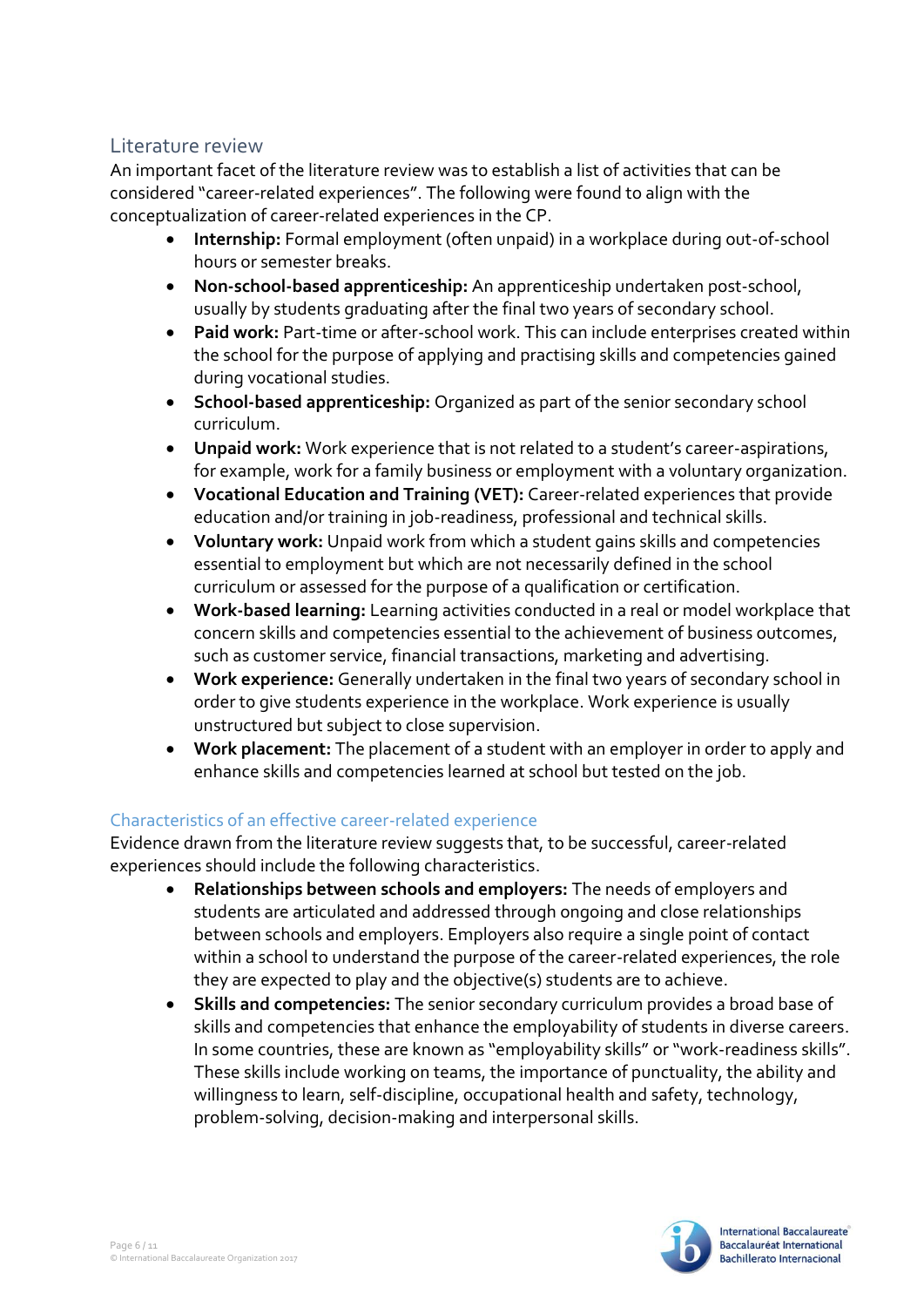### Literature review

An important facet of the literature review was to establish a list of activities that can be considered "career-related experiences". The following were found to align with the conceptualization of career-related experiences in the CP.

- **Internship:** Formal employment (often unpaid) in a workplace during out-of-school hours or semester breaks.
- **Non-school-based apprenticeship:** An apprenticeship undertaken post-school, usually by students graduating after the final two years of secondary school.
- **Paid work:** Part-time or after-school work. This can include enterprises created within the school for the purpose of applying and practising skills and competencies gained during vocational studies.
- **School-based apprenticeship:** Organized as part of the senior secondary school curriculum.
- **Unpaid work:** Work experience that is not related to a student's career-aspirations, for example, work for a family business or employment with a voluntary organization.
- **Vocational Education and Training (VET):** Career-related experiences that provide education and/or training in job-readiness, professional and technical skills.
- **Voluntary work:** Unpaid work from which a student gains skills and competencies essential to employment but which are not necessarily defined in the school curriculum or assessed for the purpose of a qualification or certification.
- **Work-based learning:** Learning activities conducted in a real or model workplace that concern skills and competencies essential to the achievement of business outcomes, such as customer service, financial transactions, marketing and advertising.
- **Work experience:** Generally undertaken in the final two years of secondary school in order to give students experience in the workplace. Work experience is usually unstructured but subject to close supervision.
- **Work placement:** The placement of a student with an employer in order to apply and enhance skills and competencies learned at school but tested on the job.

### Characteristics of an effective career-related experience

Evidence drawn from the literature review suggests that, to be successful, career-related experiences should include the following characteristics.

- **Relationships between schools and employers:** The needs of employers and students are articulated and addressed through ongoing and close relationships between schools and employers. Employers also require a single point of contact within a school to understand the purpose of the career-related experiences, the role they are expected to play and the objective(s) students are to achieve.
- **Skills and competencies:** The senior secondary curriculum provides a broad base of skills and competencies that enhance the employability of students in diverse careers. In some countries, these are known as "employability skills" or "work-readiness skills". These skills include working on teams, the importance of punctuality, the ability and willingness to learn, self-discipline, occupational health and safety, technology, problem-solving, decision-making and interpersonal skills.

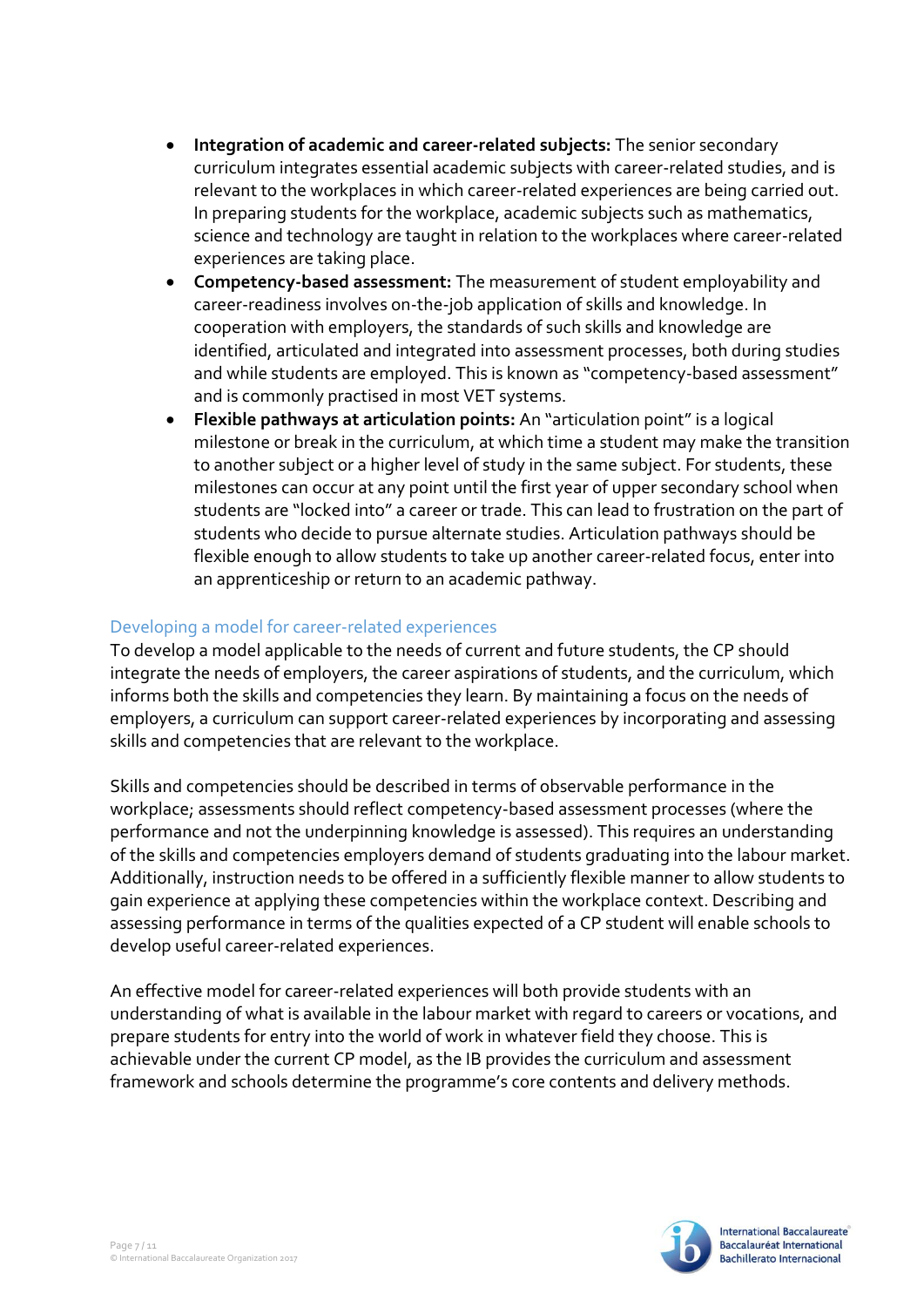- **Integration of academic and career-related subjects:** The senior secondary curriculum integrates essential academic subjects with career-related studies, and is relevant to the workplaces in which career-related experiences are being carried out. In preparing students for the workplace, academic subjects such as mathematics, science and technology are taught in relation to the workplaces where career-related experiences are taking place.
- **Competency-based assessment:** The measurement of student employability and career-readiness involves on-the-job application of skills and knowledge. In cooperation with employers, the standards of such skills and knowledge are identified, articulated and integrated into assessment processes, both during studies and while students are employed. This is known as "competency-based assessment" and is commonly practised in most VET systems.
- **Flexible pathways at articulation points:** An "articulation point" is a logical milestone or break in the curriculum, at which time a student may make the transition to another subject or a higher level of study in the same subject. For students, these milestones can occur at any point until the first year of upper secondary school when students are "locked into" a career or trade. This can lead to frustration on the part of students who decide to pursue alternate studies. Articulation pathways should be flexible enough to allow students to take up another career-related focus, enter into an apprenticeship or return to an academic pathway.

#### Developing a model for career-related experiences

To develop a model applicable to the needs of current and future students, the CP should integrate the needs of employers, the career aspirations of students, and the curriculum, which informs both the skills and competencies they learn. By maintaining a focus on the needs of employers, a curriculum can support career-related experiences by incorporating and assessing skills and competencies that are relevant to the workplace.

Skills and competencies should be described in terms of observable performance in the workplace; assessments should reflect competency-based assessment processes (where the performance and not the underpinning knowledge is assessed). This requires an understanding of the skills and competencies employers demand of students graduating into the labour market. Additionally, instruction needs to be offered in a sufficiently flexible manner to allow students to gain experience at applying these competencies within the workplace context. Describing and assessing performance in terms of the qualities expected of a CP student will enable schools to develop useful career-related experiences.

An effective model for career-related experiences will both provide students with an understanding of what is available in the labour market with regard to careers or vocations, and prepare students for entry into the world of work in whatever field they choose. This is achievable under the current CP model, as the IB provides the curriculum and assessment framework and schools determine the programme's core contents and delivery methods.

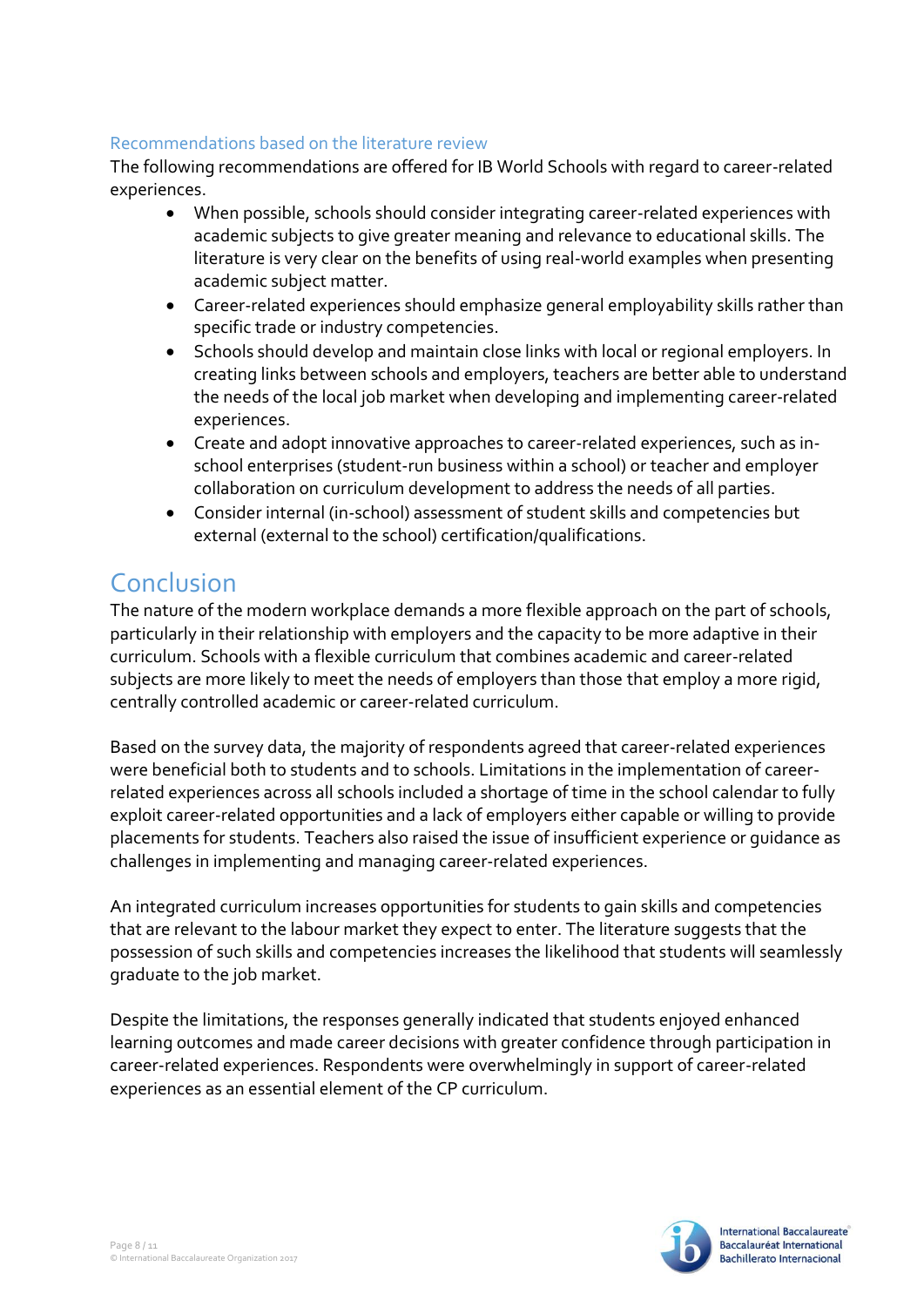#### Recommendations based on the literature review

The following recommendations are offered for IB World Schools with regard to career-related experiences.

- When possible, schools should consider integrating career-related experiences with academic subjects to give greater meaning and relevance to educational skills. The literature is very clear on the benefits of using real-world examples when presenting academic subject matter.
- Career-related experiences should emphasize general employability skills rather than specific trade or industry competencies.
- Schools should develop and maintain close links with local or regional employers. In creating links between schools and employers, teachers are better able to understand the needs of the local job market when developing and implementing career-related experiences.
- Create and adopt innovative approaches to career-related experiences, such as inschool enterprises (student-run business within a school) or teacher and employer collaboration on curriculum development to address the needs of all parties.
- Consider internal (in-school) assessment of student skills and competencies but external (external to the school) certification/qualifications.

## Conclusion

The nature of the modern workplace demands a more flexible approach on the part of schools, particularly in their relationship with employers and the capacity to be more adaptive in their curriculum. Schools with a flexible curriculum that combines academic and career-related subjects are more likely to meet the needs of employers than those that employ a more rigid, centrally controlled academic or career-related curriculum.

Based on the survey data, the majority of respondents agreed that career-related experiences were beneficial both to students and to schools. Limitations in the implementation of careerrelated experiences across all schools included a shortage of time in the school calendar to fully exploit career-related opportunities and a lack of employers either capable or willing to provide placements for students. Teachers also raised the issue of insufficient experience or guidance as challenges in implementing and managing career-related experiences.

An integrated curriculum increases opportunities for students to gain skills and competencies that are relevant to the labour market they expect to enter. The literature suggests that the possession of such skills and competencies increases the likelihood that students will seamlessly graduate to the job market.

Despite the limitations, the responses generally indicated that students enjoyed enhanced learning outcomes and made career decisions with greater confidence through participation in career-related experiences. Respondents were overwhelmingly in support of career-related experiences as an essential element of the CP curriculum.

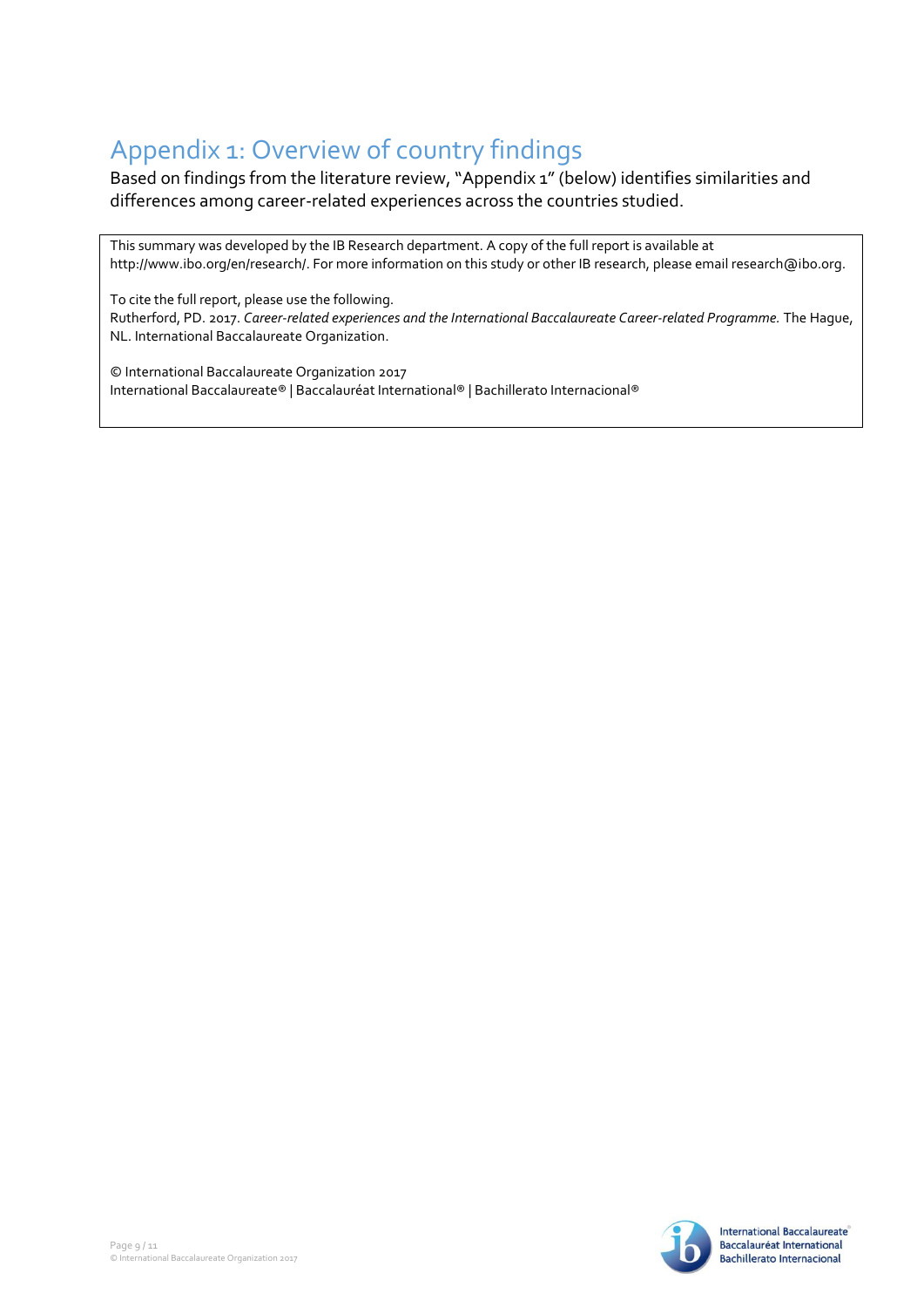# Appendix 1: Overview of country findings

Based on findings from the literature review, "Appendix 1" (below) identifies similarities and differences among career-related experiences across the countries studied.

This summary was developed by the IB Research department. A copy of the full report is available at http://www.ibo.org/en/research/. For more information on this study or other IB research, please email research@ibo.org.

To cite the full report, please use the following. Rutherford, PD. 2017. *Career-related experiences and the International Baccalaureate Career-related Programme.* The Hague, NL. International Baccalaureate Organization.

© International Baccalaureate Organization 2017 International Baccalaureate® | Baccalauréat International® | Bachillerato Internacional®

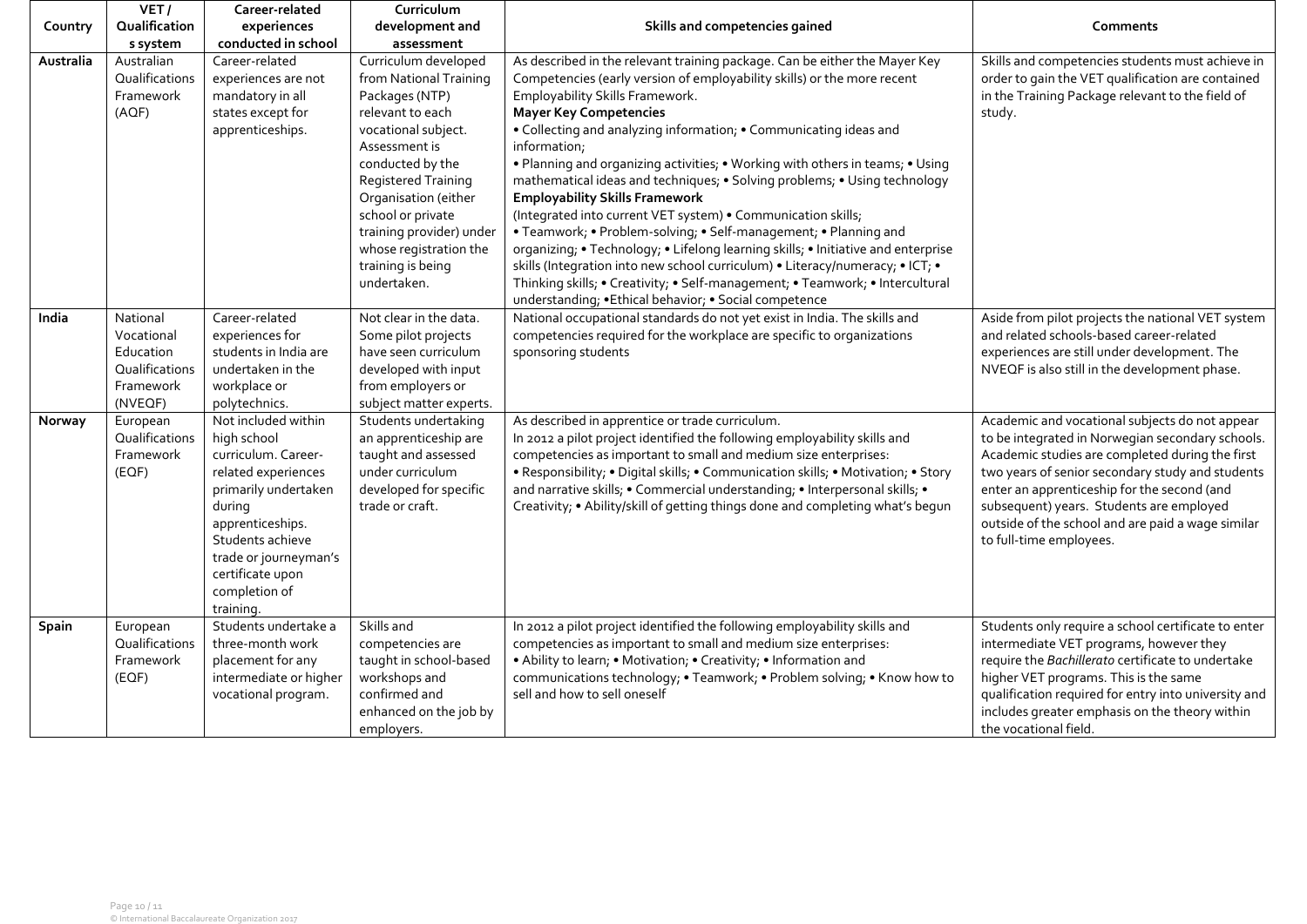|           | VET/                                                                          | Career-related                                                                                                                                                                                                                        | Curriculum                                                                                                                                                                                                                                                                                                            |                                                                                                                                                                                                                                                                                                                                                                                                                                                                                                                                                                                                                                                                                                                                                                                                                                                                                                                                                                           |                                                                                                                                                                                                                                                                                                                                                                                      |
|-----------|-------------------------------------------------------------------------------|---------------------------------------------------------------------------------------------------------------------------------------------------------------------------------------------------------------------------------------|-----------------------------------------------------------------------------------------------------------------------------------------------------------------------------------------------------------------------------------------------------------------------------------------------------------------------|---------------------------------------------------------------------------------------------------------------------------------------------------------------------------------------------------------------------------------------------------------------------------------------------------------------------------------------------------------------------------------------------------------------------------------------------------------------------------------------------------------------------------------------------------------------------------------------------------------------------------------------------------------------------------------------------------------------------------------------------------------------------------------------------------------------------------------------------------------------------------------------------------------------------------------------------------------------------------|--------------------------------------------------------------------------------------------------------------------------------------------------------------------------------------------------------------------------------------------------------------------------------------------------------------------------------------------------------------------------------------|
| Country   | Qualification                                                                 | experiences                                                                                                                                                                                                                           | development and                                                                                                                                                                                                                                                                                                       | Skills and competencies gained                                                                                                                                                                                                                                                                                                                                                                                                                                                                                                                                                                                                                                                                                                                                                                                                                                                                                                                                            | Comments                                                                                                                                                                                                                                                                                                                                                                             |
|           | s system                                                                      | conducted in school                                                                                                                                                                                                                   | assessment                                                                                                                                                                                                                                                                                                            |                                                                                                                                                                                                                                                                                                                                                                                                                                                                                                                                                                                                                                                                                                                                                                                                                                                                                                                                                                           |                                                                                                                                                                                                                                                                                                                                                                                      |
| Australia | Australian<br>Qualifications<br>Framework<br>(AOF)                            | Career-related<br>experiences are not<br>mandatory in all<br>states except for<br>apprenticeships.                                                                                                                                    | Curriculum developed<br>from National Training<br>Packages (NTP)<br>relevant to each<br>vocational subject.<br>Assessment is<br>conducted by the<br><b>Registered Training</b><br>Organisation (either<br>school or private<br>training provider) under<br>whose registration the<br>training is being<br>undertaken. | As described in the relevant training package. Can be either the Mayer Key<br>Competencies (early version of employability skills) or the more recent<br>Employability Skills Framework.<br><b>Mayer Key Competencies</b><br>• Collecting and analyzing information; • Communicating ideas and<br>information;<br>. Planning and organizing activities; . Working with others in teams; . Using<br>mathematical ideas and techniques; • Solving problems; • Using technology<br><b>Employability Skills Framework</b><br>(Integrated into current VET system) . Communication skills;<br>• Teamwork; • Problem-solving; • Self-management; • Planning and<br>organizing; • Technology; • Lifelong learning skills; • Initiative and enterprise<br>skills (Integration into new school curriculum) • Literacy/numeracy; • ICT; •<br>Thinking skills; • Creativity; • Self-management; • Teamwork; • Intercultural<br>understanding; .Ethical behavior; . Social competence | Skills and competencies students must achieve in<br>order to gain the VET qualification are contained<br>in the Training Package relevant to the field of<br>study.                                                                                                                                                                                                                  |
| India     | National<br>Vocational<br>Education<br>Qualifications<br>Framework<br>(NVEQF) | Career-related<br>experiences for<br>students in India are<br>undertaken in the<br>workplace or<br>polytechnics.                                                                                                                      | Not clear in the data.<br>Some pilot projects<br>have seen curriculum<br>developed with input<br>from employers or<br>subject matter experts.                                                                                                                                                                         | National occupational standards do not yet exist in India. The skills and<br>competencies required for the workplace are specific to organizations<br>sponsoring students                                                                                                                                                                                                                                                                                                                                                                                                                                                                                                                                                                                                                                                                                                                                                                                                 | Aside from pilot projects the national VET system<br>and related schools-based career-related<br>experiences are still under development. The<br>NVEQF is also still in the development phase.                                                                                                                                                                                       |
| Norway    | European<br>Qualifications<br>Framework<br>(EOF)                              | Not included within<br>high school<br>curriculum. Career-<br>related experiences<br>primarily undertaken<br>during<br>apprenticeships.<br>Students achieve<br>trade or journeyman's<br>certificate upon<br>completion of<br>training. | Students undertaking<br>an apprenticeship are<br>taught and assessed<br>under curriculum<br>developed for specific<br>trade or craft.                                                                                                                                                                                 | As described in apprentice or trade curriculum.<br>In 2012 a pilot project identified the following employability skills and<br>competencies as important to small and medium size enterprises:<br>• Responsibility; • Digital skills; • Communication skills; • Motivation; • Story<br>and narrative skills; • Commercial understanding; • Interpersonal skills; •<br>Creativity; • Ability/skill of getting things done and completing what's begun                                                                                                                                                                                                                                                                                                                                                                                                                                                                                                                     | Academic and vocational subjects do not appear<br>to be integrated in Norwegian secondary schools.<br>Academic studies are completed during the first<br>two years of senior secondary study and students<br>enter an apprenticeship for the second (and<br>subsequent) years. Students are employed<br>outside of the school and are paid a wage similar<br>to full-time employees. |
| Spain     | European<br>Qualifications<br>Framework<br>(EOF)                              | Students undertake a<br>three-month work<br>placement for any<br>intermediate or higher<br>vocational program.                                                                                                                        | Skills and<br>competencies are<br>taught in school-based<br>workshops and<br>confirmed and<br>enhanced on the job by<br>employers.                                                                                                                                                                                    | In 2012 a pilot project identified the following employability skills and<br>competencies as important to small and medium size enterprises:<br>• Ability to learn; • Motivation; • Creativity; • Information and<br>communications technology; • Teamwork; • Problem solving; • Know how to<br>sell and how to sell oneself                                                                                                                                                                                                                                                                                                                                                                                                                                                                                                                                                                                                                                              | Students only require a school certificate to enter<br>intermediate VET programs, however they<br>require the Bachillerato certificate to undertake<br>higher VET programs. This is the same<br>qualification required for entry into university and<br>includes greater emphasis on the theory within<br>the vocational field.                                                      |